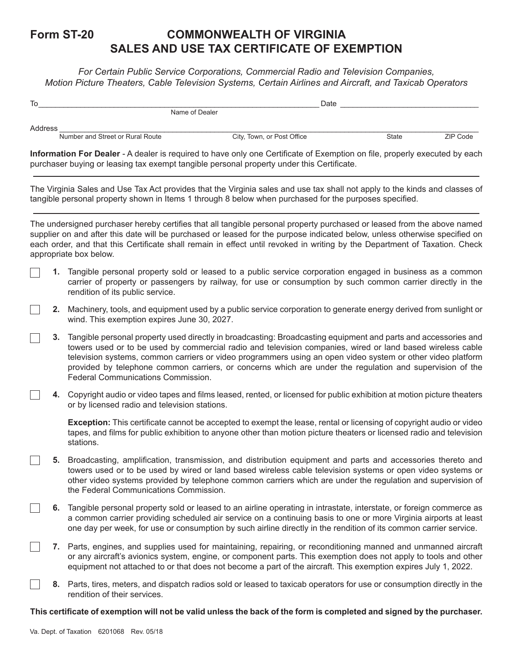## **Form ST-20 COMMONWEALTH OF VIRGINIA SALES AND USE TAX CERTIFICATE OF EXEMPTION**

*For Certain Public Service Corporations, Commercial Radio and Television Companies, Motion Picture Theaters, Cable Television Systems, Certain Airlines and Aircraft, and Taxicab Operators*

| To      |                                  |                            | Date |              |          |
|---------|----------------------------------|----------------------------|------|--------------|----------|
|         |                                  | Name of Dealer             |      |              |          |
| Address |                                  |                            |      |              |          |
|         | Number and Street or Rural Route | City, Town, or Post Office |      | <b>State</b> | ZIP Code |

**Information For Dealer** - A dealer is required to have only one Certificate of Exemption on file, properly executed by each purchaser buying or leasing tax exempt tangible personal property under this Certificate.

The Virginia Sales and Use Tax Act provides that the Virginia sales and use tax shall not apply to the kinds and classes of tangible personal property shown in Items 1 through 8 below when purchased for the purposes specified.

The undersigned purchaser hereby certifies that all tangible personal property purchased or leased from the above named supplier on and after this date will be purchased or leased for the purpose indicated below, unless otherwise specified on each order, and that this Certificate shall remain in effect until revoked in writing by the Department of Taxation. Check appropriate box below.

- **1.** Tangible personal property sold or leased to a public service corporation engaged in business as a common carrier of property or passengers by railway, for use or consumption by such common carrier directly in the rendition of its public service.
- **2.** Machinery, tools, and equipment used by a public service corporation to generate energy derived from sunlight or wind. This exemption expires June 30, 2027.
- **3.** Tangible personal property used directly in broadcasting: Broadcasting equipment and parts and accessories and towers used or to be used by commercial radio and television companies, wired or land based wireless cable television systems, common carriers or video programmers using an open video system or other video platform provided by telephone common carriers, or concerns which are under the regulation and supervision of the Federal Communications Commission.
- **4.** Copyright audio or video tapes and films leased, rented, or licensed for public exhibition at motion picture theaters or by licensed radio and television stations.

**Exception:** This certificate cannot be accepted to exempt the lease, rental or licensing of copyright audio or video tapes, and films for public exhibition to anyone other than motion picture theaters or licensed radio and television stations.

- **5.** Broadcasting, amplification, transmission, and distribution equipment and parts and accessories thereto and towers used or to be used by wired or land based wireless cable television systems or open video systems or other video systems provided by telephone common carriers which are under the regulation and supervision of the Federal Communications Commission.
- **6.** Tangible personal property sold or leased to an airline operating in intrastate, interstate, or foreign commerce as a common carrier providing scheduled air service on a continuing basis to one or more Virginia airports at least one day per week, for use or consumption by such airline directly in the rendition of its common carrier service.
- **7.** Parts, engines, and supplies used for maintaining, repairing, or reconditioning manned and unmanned aircraft or any aircraft's avionics system, engine, or component parts. This exemption does not apply to tools and other equipment not attached to or that does not become a part of the aircraft. This exemption expires July 1, 2022.
- **8.** Parts, tires, meters, and dispatch radios sold or leased to taxicab operators for use or consumption directly in the rendition of their services.

## **This certificate of exemption will not be valid unless the back of the form is completed and signed by the purchaser.**